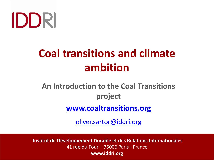# IDDRI

# **Coal transitions and climate ambition**

## **An Introduction to the Coal Transitions project**

**[www.coaltransitions.org](http://www.coaltransitions.org/)** 

[oliver.sartor@iddri.org](mailto:oliver.sartor@iddri.org)

**Institut du Développement Durable et des Relations Internationales** 41 rue du Four – 75006 Paris - France **www.iddri.org**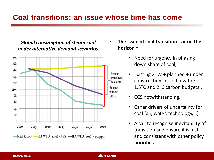#### **Coal transitions: an issue whose time has come**

#### *Global consumption of steam coal under alternative demand scenarios*



- **The issue of coal transition is « on the horizon »**
	- Need for urgency in phasing down share of coal,
	- Existing 2TW + planned + under construction could blow the 1.5°C and 2°C carbon budgets..
		- CCS notwithstanding.
		- Other drivers of uncertainty for coal (air, water, technology,…)
		- A call to recognise inevitability of transition and ensure it is just and consistent with other policy priorities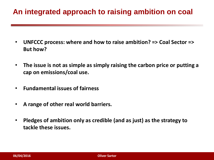#### **An integrated approach to raising ambition on coal**

- **UNFCCC process: where and how to raise ambition? => Coal Sector => But how?**
- **The issue is not as simple as simply raising the carbon price or putting a cap on emissions/coal use.**
- **Fundamental issues of fairness**
- **A range of other real world barriers.**
- **Pledges of ambition only as credible (and as just) as the strategy to tackle these issues.**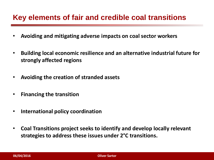#### **Key elements of fair and credible coal transitions**

- **Avoiding and mitigating adverse impacts on coal sector workers**
- **Building local economic resilience and an alternative industrial future for strongly affected regions**
- **Avoiding the creation of stranded assets**
- **Financing the transition**
- **International policy coordination**
- **Coal Transitions project seeks to identify and develop locally relevant strategies to address these issues under 2°C transitions.**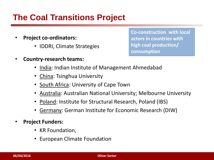### **The Coal Transitions Project**

- **Project co-ordinators:** 
	- IDDRI, Climate Strategies
- **Country-research teams:**

**Co-construction with local actors in countries with high coal production/ consumption**

- India: Indian Institute of Management Ahmedabad
- China: Tsinghua University
- South Africa: University of Cape Town
- Australia: Australian National University; Melbourne University
- Poland: Institute for Structural Research, Poland (IBS)
- Germany: German Institute for Economic Research (DIW)
- **Project Funders:** 
	- KR Foundation,
	- European Climate Foundation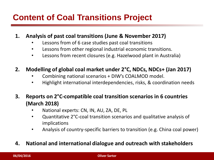## **Content of Coal Transitions Project**

- **1. Analysis of past coal transitions (June & November 2017)**
	- Lessons from of 6 case studies past coal transitions
	- Lessons from other regional industrial economic transitions.
	- Lessons from recent closures (e.g. Hazelwood plant in Australia)
- **2. Modelling of global coal market under 2°C, NDCs, NDCs+ (Jan 2017)**
	- Combining national scenarios + DIW's COALMOD model.
	- Highlight international interdependencies, risks, & coordination needs
- **3. Reports on 2°C-compatible coal transition scenarios in 6 countries (March 2018)** 
	- National experts: CN, IN, AU, ZA, DE, PL
	- Quantitative 2°C-coal transition scenarios and qualitative analysis of implications
	- Analysis of country-specific barriers to transition (e.g. China coal power)

#### **4. National and international dialogue and outreach with stakeholders**